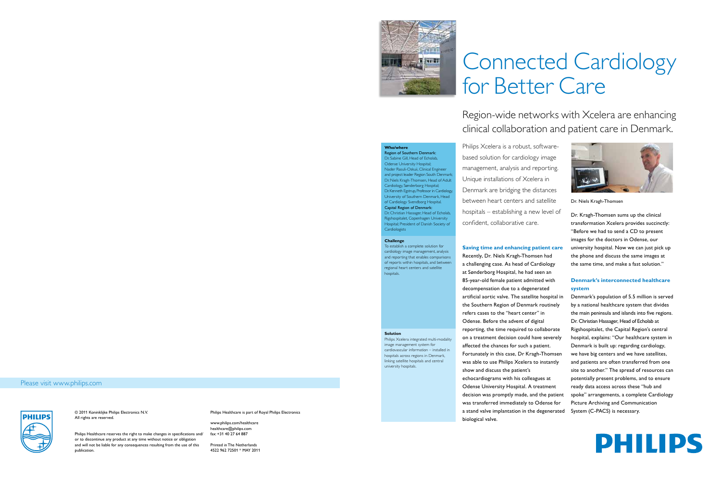© 2011 Koninklijke Philips Electronics N.V. All rights are reserved.

Philips Healthcare reserves the right to make changes in specifications and/ or to discontinue any product at any time without notice or obligation and will not be liable for any consequences resulting from the use of this publication.

Philips Healthcare is part of Royal Philips Electronics

www.philips.com/healthcare healthcare@philips.com fax: +31 40 27 64 887

Printed in The Netherlands 4522 962 72501 \* MAY 2011

### Please visit www.philips.com





**Solution**

Philips Xcelera integrated multi-modality image management system for cardiovascular information – installed in hospitals across regions in Denmark, linking satellite hospitals and central

university hospitals.

**Challenge**

To establish a complete solution for cardiology image management, analysis and reporting that enables comparisons of reports within hospitals, and between regional heart centers and satellite

hospitals.

# Connected Cardiology for Better Care

Region-wide networks with Xcelera are enhancing clinical collaboration and patient care in Denmark.

- 
- 
- 
- 

- 
- 
- 



**Who/where**

Region of Southern Denmark: Dr. Sabine Gill, Head of Echolab, Odense University Hospital; Nader Rasuli-Oskuii, Clinical Engineer and project leader Region South Denmark; Dr. Niels Kragh-Thomsen, Head of Adult Cardiology, Sønderborg Hospital; Dr. Kenneth Egstrup, Professor in Cardiology, University of Southern Denmark, Head of Cardiology Svendborg Hospital. Capital Region of Denmark: Dr. Christian Hassager, Head of Echolab, Rigshospitalet, Copenhagen University Hospital; President of Danish Society of

Cardiologists

Dr. Kragh-Thomsen sums up the clinical transformation Xcelera provides succinctly: "Before we had to send a CD to present images for the doctors in Odense, our university hospital. Now we can just pick up the phone and discuss the same images at the same time, and make a fast solution."

## **Denmark's interconnected healthcare system**

Denmark's population of 5.5 million is served by a national healthcare system that divides the main peninsula and islands into five regions. Dr. Christian Hassager, Head of Echolab at Rigshospitalet, the Capital Region's central hospital, explains: "Our healthcare system in Denmark is built up: regarding cardiology, we have big centers and we have satellites, and patients are often transferred from one site to another." The spread of resources can potentially present problems, and to ensure ready data access across these "hub and spoke" arrangements, a complete Cardiology Picture Archiving and Communication System (C-PACS) is necessary.



Philips Xcelera is a robust, softwarebased solution for cardiology image management, analysis and reporting. Unique installations of Xcelera in Denmark are bridging the distances between heart centers and satellite hospitals – establishing a new level of confident, collaborative care.

## **Saving time and enhancing patient care**

Recently, Dr. Niels Kragh-Thomsen had a challenging case. As head of Cardiology at Sønderborg Hospital, he had seen an 85-year-old female patient admitted with decompensation due to a degenerated artificial aortic valve. The satellite hospital in the Southern Region of Denmark routinely refers cases to the "heart center" in Odense. Before the advent of digital reporting, the time required to collaborate on a treatment decision could have severely affected the chances for such a patient. Fortunately in this case, Dr Kragh-Thomsen was able to use Philips Xcelera to instantly show and discuss the patient's echocardiograms with his colleagues at Odense University Hospital. A treatment decision was promptly made, and the patient was transferred immediately to Odense for a stand valve implantation in the degenerated biological valve.

Dr. Niels Kragh-Thomsen